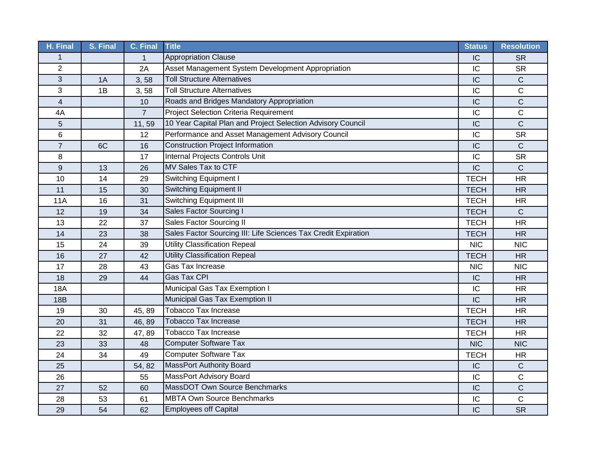| H. Final       | S. Final | C. Final       | <b>Title</b>                                                   | <b>Status</b> | <b>Resolution</b> |
|----------------|----------|----------------|----------------------------------------------------------------|---------------|-------------------|
| 1              |          | $\mathbf 1$    | <b>Appropriation Clause</b>                                    | IC            | <b>SR</b>         |
| $\overline{2}$ |          | 2A             | Asset Management System Development Appropriation              | IC            | <b>SR</b>         |
| 3              | 1A       | 3,58           | <b>Toll Structure Alternatives</b>                             | IC            | $\mathsf C$       |
| 3              | 1B       | 3,58           | <b>Toll Structure Alternatives</b>                             | IC            | C                 |
| 4              |          | 10             | Roads and Bridges Mandatory Appropriation                      | IC            | C                 |
| 4A             |          | $\overline{7}$ | <b>Project Selection Criteria Requirement</b>                  | IC            | C                 |
| 5              |          | 11,59          | 10 Year Capital Plan and Project Selection Advisory Council    | IC            | $\mathsf{C}$      |
| 6              |          | 12             | Performance and Asset Management Advisory Council              | IC            | <b>SR</b>         |
| $\overline{7}$ | 6C       | 16             | <b>Construction Project Information</b>                        | IC            | $\mathsf{C}$      |
| 8              |          | 17             | Internal Projects Controls Unit                                | IC            | <b>SR</b>         |
| 9              | 13       | 26             | MV Sales Tax to CTF                                            | IC            | $\mathsf{C}$      |
| 10             | 14       | 29             | Switching Equipment I                                          | <b>TECH</b>   | <b>HR</b>         |
| 11             | 15       | 30             | Switching Equipment II                                         | <b>TECH</b>   | <b>HR</b>         |
| <b>11A</b>     | 16       | 31             | <b>Switching Equipment III</b>                                 | <b>TECH</b>   | <b>HR</b>         |
| 12             | 19       | 34             | Sales Factor Sourcing I                                        | <b>TECH</b>   | C                 |
| 13             | 22       | 37             | Sales Factor Sourcing II                                       | <b>TECH</b>   | <b>HR</b>         |
| 14             | 23       | 38             | Sales Factor Sourcing III: Life Sciences Tax Credit Expiration | <b>TECH</b>   | <b>HR</b>         |
| 15             | 24       | 39             | <b>Utility Classification Repeal</b>                           | <b>NIC</b>    | <b>NIC</b>        |
| 16             | 27       | 42             | <b>Utility Classification Repeal</b>                           | <b>TECH</b>   | <b>HR</b>         |
| 17             | 28       | 43             | Gas Tax Increase                                               | <b>NIC</b>    | <b>NIC</b>        |
| 18             | 29       | 44             | Gas Tax CPI                                                    | IC            | <b>HR</b>         |
| <b>18A</b>     |          |                | Municipal Gas Tax Exemption I                                  | IC            | <b>HR</b>         |
| <b>18B</b>     |          |                | Municipal Gas Tax Exemption II                                 | IC            | <b>HR</b>         |
| 19             | 30       | 45, 89         | <b>Tobacco Tax Increase</b>                                    | <b>TECH</b>   | <b>HR</b>         |
| 20             | 31       | 46, 89         | <b>Tobacco Tax Increase</b>                                    | <b>TECH</b>   | <b>HR</b>         |
| 22             | 32       | 47,89          | <b>Tobacco Tax Increase</b>                                    | <b>TECH</b>   | <b>HR</b>         |
| 23             | 33       | 48             | <b>Computer Software Tax</b>                                   | <b>NIC</b>    | <b>NIC</b>        |
| 24             | 34       | 49             | <b>Computer Software Tax</b>                                   | <b>TECH</b>   | <b>HR</b>         |
| 25             |          | 54, 82         | MassPort Authority Board                                       | IC            | $\mathsf C$       |
| 26             |          | 55             | <b>MassPort Advisory Board</b>                                 | IC            | $\mathsf C$       |
| 27             | 52       | 60             | MassDOT Own Source Benchmarks                                  | IC            | $\mathsf C$       |
| 28             | 53       | 61             | <b>MBTA Own Source Benchmarks</b>                              | IC            | C                 |
| 29             | 54       | 62             | <b>Employees off Capital</b>                                   | IC            | <b>SR</b>         |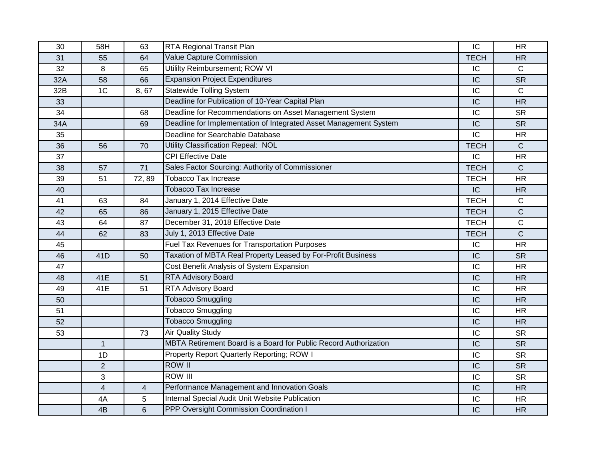| 30  | 58H            | 63    | RTA Regional Transit Plan                                         | IC          | <b>HR</b>    |
|-----|----------------|-------|-------------------------------------------------------------------|-------------|--------------|
| 31  | 55             | 64    | Value Capture Commission                                          | <b>TECH</b> | <b>HR</b>    |
| 32  | 8              | 65    | Utililty Reimbursement; ROW VI                                    | IC          | $\mathsf{C}$ |
| 32A | 58             | 66    | <b>Expansion Project Expenditures</b>                             | IC          | <b>SR</b>    |
| 32B | 1 <sub>C</sub> | 8,67  | <b>Statewide Tolling System</b>                                   | IC          | C            |
| 33  |                |       | Deadline for Publication of 10-Year Capital Plan                  | IC          | <b>HR</b>    |
| 34  |                | 68    | Deadline for Recommendations on Asset Management System           | IC          | <b>SR</b>    |
| 34A |                | 69    | Deadline for Implementation of Integrated Asset Management System | IC          | <b>SR</b>    |
| 35  |                |       | Deadline for Searchable Database                                  | IC          | <b>HR</b>    |
| 36  | 56             | 70    | Utility Classification Repeal: NOL                                | <b>TECH</b> | $\mathsf{C}$ |
| 37  |                |       | <b>CPI Effective Date</b>                                         | IC          | <b>HR</b>    |
| 38  | 57             | 71    | Sales Factor Sourcing: Authority of Commissioner                  | <b>TECH</b> | $\mathsf{C}$ |
| 39  | 51             | 72,89 | <b>Tobacco Tax Increase</b>                                       | <b>TECH</b> | <b>HR</b>    |
| 40  |                |       | <b>Tobacco Tax Increase</b>                                       | IC          | <b>HR</b>    |
| 41  | 63             | 84    | January 1, 2014 Effective Date                                    | <b>TECH</b> | C            |
| 42  | 65             | 86    | January 1, 2015 Effective Date                                    | <b>TECH</b> | $\mathsf{C}$ |
| 43  | 64             | 87    | December 31, 2018 Effective Date                                  | <b>TECH</b> | C            |
| 44  | 62             | 83    | July 1, 2013 Effective Date                                       | <b>TECH</b> | $\mathsf{C}$ |
| 45  |                |       | Fuel Tax Revenues for Transportation Purposes                     | IC          | <b>HR</b>    |
| 46  | 41D            | 50    | Taxation of MBTA Real Property Leased by For-Profit Business      | IC          | <b>SR</b>    |
| 47  |                |       | Cost Benefit Analysis of System Expansion                         | IC          | <b>HR</b>    |
| 48  | 41E            | 51    | <b>RTA Advisory Board</b>                                         | IC          | <b>HR</b>    |
| 49  | 41E            | 51    | RTA Advisory Board                                                | IC          | <b>HR</b>    |
| 50  |                |       | <b>Tobacco Smuggling</b>                                          | IC          | <b>HR</b>    |
| 51  |                |       | <b>Tobacco Smuggling</b>                                          | IC          | <b>HR</b>    |
| 52  |                |       | <b>Tobacco Smuggling</b>                                          | IC          | <b>HR</b>    |
| 53  |                | 73    | <b>Air Quality Study</b>                                          | IC          | <b>SR</b>    |
|     | $\mathbf{1}$   |       | MBTA Retirement Board is a Board for Public Record Authorization  | IC          | <b>SR</b>    |
|     | 1D             |       | Property Report Quarterly Reporting; ROW I                        | IC          | <b>SR</b>    |
|     | $\overline{2}$ |       | <b>ROW II</b>                                                     | IC          | <b>SR</b>    |
|     | 3              |       | <b>ROW III</b>                                                    | IC          | <b>SR</b>    |
|     | $\overline{4}$ | 4     | Performance Management and Innovation Goals                       | IC          | <b>HR</b>    |
|     | 4A             | 5     | Internal Special Audit Unit Website Publication                   | IC          | <b>HR</b>    |
|     | 4B             | 6     | PPP Oversight Commission Coordination I                           | IC          | <b>HR</b>    |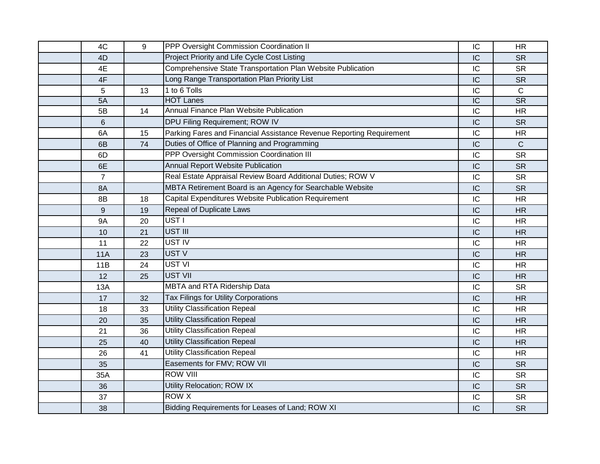| 4C             | 9  | PPP Oversight Commission Coordination II                             | IC | <b>HR</b>    |
|----------------|----|----------------------------------------------------------------------|----|--------------|
| 4D             |    | Project Priority and Life Cycle Cost Listing                         | IC | <b>SR</b>    |
| 4E             |    | Comprehensive State Transportation Plan Website Publication          | IC | <b>SR</b>    |
| 4F             |    | Long Range Transportation Plan Priority List                         | IC | <b>SR</b>    |
| 5              | 13 | 1 to 6 Tolls                                                         | IC | $\mathsf{C}$ |
| 5A             |    | <b>HOT Lanes</b>                                                     | IC | <b>SR</b>    |
| 5B             | 14 | Annual Finance Plan Website Publication                              | IC | <b>HR</b>    |
| 6              |    | DPU Filing Requirement; ROW IV                                       | IC | <b>SR</b>    |
| 6A             | 15 | Parking Fares and Financial Assistance Revenue Reporting Requirement | IC | <b>HR</b>    |
| 6B             | 74 | Duties of Office of Planning and Programming                         | IC | $\mathsf C$  |
| 6D             |    | PPP Oversight Commission Coordination III                            | IC | <b>SR</b>    |
| 6E             |    | <b>Annual Report Website Publication</b>                             | IC | <b>SR</b>    |
| $\overline{7}$ |    | Real Estate Appraisal Review Board Additional Duties; ROW V          | IC | <b>SR</b>    |
| 8A             |    | MBTA Retirement Board is an Agency for Searchable Website            | IC | <b>SR</b>    |
| 8B             | 18 | Capital Expenditures Website Publication Requirement                 | IC | <b>HR</b>    |
| 9              | 19 | Repeal of Duplicate Laws                                             | IC | <b>HR</b>    |
| <b>9A</b>      | 20 | UST I                                                                | IC | <b>HR</b>    |
| 10             | 21 | UST III                                                              | IC | <b>HR</b>    |
| 11             | 22 | UST IV                                                               | IC | <b>HR</b>    |
| 11A            | 23 | UST V                                                                | IC | <b>HR</b>    |
| 11B            | 24 | UST VI                                                               | IC | <b>HR</b>    |
| 12             | 25 | <b>UST VII</b>                                                       | IC | <b>HR</b>    |
| <b>13A</b>     |    | <b>MBTA and RTA Ridership Data</b>                                   | IC | <b>SR</b>    |
| 17             | 32 | Tax Filings for Utility Corporations                                 | IC | <b>HR</b>    |
| 18             | 33 | Utility Classification Repeal                                        | IC | <b>HR</b>    |
| 20             | 35 | <b>Utility Classification Repeal</b>                                 | IC | <b>HR</b>    |
| 21             | 36 | <b>Utility Classification Repeal</b>                                 | IC | <b>HR</b>    |
| 25             | 40 | <b>Utility Classification Repeal</b>                                 | IC | <b>HR</b>    |
| 26             | 41 | <b>Utility Classification Repeal</b>                                 | IC | <b>HR</b>    |
| 35             |    | Easements for FMV; ROW VII                                           | IC | <b>SR</b>    |
| 35A            |    | <b>ROW VIII</b>                                                      | IC | <b>SR</b>    |
| 36             |    | Utility Relocation; ROW IX                                           | IC | <b>SR</b>    |
| 37             |    | <b>ROW X</b>                                                         | IC | <b>SR</b>    |
| 38             |    | Bidding Requirements for Leases of Land; ROW XI                      | IC | <b>SR</b>    |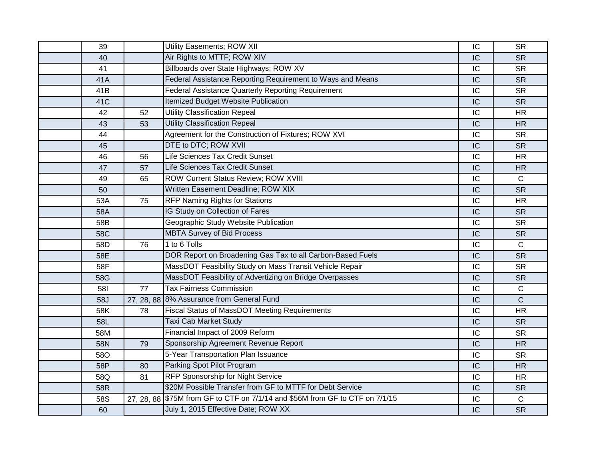| 39         |    | Utility Easements; ROW XII                                                   | IC | <b>SR</b>    |
|------------|----|------------------------------------------------------------------------------|----|--------------|
| 40         |    | Air Rights to MTTF; ROW XIV                                                  | IC | <b>SR</b>    |
| 41         |    | Billboards over State Highways; ROW XV                                       | IC | <b>SR</b>    |
| 41A        |    | Federal Assistance Reporting Requirement to Ways and Means                   | IC | <b>SR</b>    |
| 41B        |    | Federal Assistance Quarterly Reporting Requirement                           | IC | <b>SR</b>    |
| 41C        |    | Itemized Budget Website Publication                                          | IC | <b>SR</b>    |
| 42         | 52 | Utility Classification Repeal                                                | IC | <b>HR</b>    |
| 43         | 53 | <b>Utility Classification Repeal</b>                                         | IC | <b>HR</b>    |
| 44         |    | Agreement for the Construction of Fixtures; ROW XVI                          | IC | <b>SR</b>    |
| 45         |    | DTE to DTC; ROW XVII                                                         | IC | <b>SR</b>    |
| 46         | 56 | Life Sciences Tax Credit Sunset                                              | IC | <b>HR</b>    |
| 47         | 57 | Life Sciences Tax Credit Sunset                                              | IC | <b>HR</b>    |
| 49         | 65 | ROW Current Status Review; ROW XVIII                                         | IC | $\mathsf{C}$ |
| 50         |    | Written Easement Deadline; ROW XIX                                           | IC | <b>SR</b>    |
| 53A        | 75 | <b>RFP Naming Rights for Stations</b>                                        | IC | <b>HR</b>    |
| 58A        |    | IG Study on Collection of Fares                                              | IC | <b>SR</b>    |
| 58B        |    | Geographic Study Website Publication                                         | IC | <b>SR</b>    |
| 58C        |    | <b>MBTA Survey of Bid Process</b>                                            | IC | <b>SR</b>    |
| 58D        | 76 | 1 to 6 Tolls                                                                 | IC | $\mathsf{C}$ |
| 58E        |    | DOR Report on Broadening Gas Tax to all Carbon-Based Fuels                   | IC | <b>SR</b>    |
| 58F        |    | MassDOT Feasibility Study on Mass Transit Vehicle Repair                     | IC | <b>SR</b>    |
| 58G        |    | MassDOT Feasibility of Advertizing on Bridge Overpasses                      | IC | <b>SR</b>    |
| <b>581</b> | 77 | <b>Tax Fairness Commission</b>                                               | IC | $\mathbf C$  |
| 58J        |    | 27, 28, 88 8% Assurance from General Fund                                    | IC | $\mathsf C$  |
| 58K        | 78 | Fiscal Status of MassDOT Meeting Requirements                                | IC | <b>HR</b>    |
| 58L        |    | Taxi Cab Market Study                                                        | IC | <b>SR</b>    |
| 58M        |    | Financial Impact of 2009 Reform                                              | IC | <b>SR</b>    |
| 58N        | 79 | Sponsorship Agreement Revenue Report                                         | IC | <b>HR</b>    |
| 58O        |    | 5-Year Transportation Plan Issuance                                          | IC | <b>SR</b>    |
| 58P        | 80 | Parking Spot Pilot Program                                                   | IC | <b>HR</b>    |
| 58Q        | 81 | <b>RFP Sponsorship for Night Service</b>                                     | IC | <b>HR</b>    |
| 58R        |    | \$20M Possible Transfer from GF to MTTF for Debt Service                     | IC | <b>SR</b>    |
| 58S        |    | 27, 28, 88 \$75M from GF to CTF on 7/1/14 and \$56M from GF to CTF on 7/1/15 | IC | $\mathsf C$  |
| 60         |    | July 1, 2015 Effective Date; ROW XX                                          | IC | <b>SR</b>    |